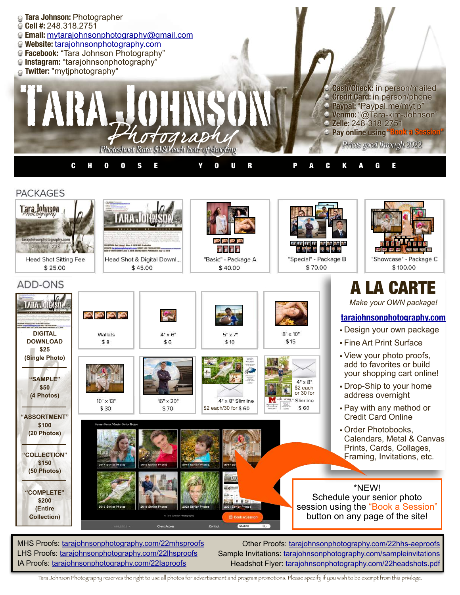

Tara Johnson Photography reserves the right to use all photos for advertisement and program promotions. Please specify if you wish to be exempt from this privilege.